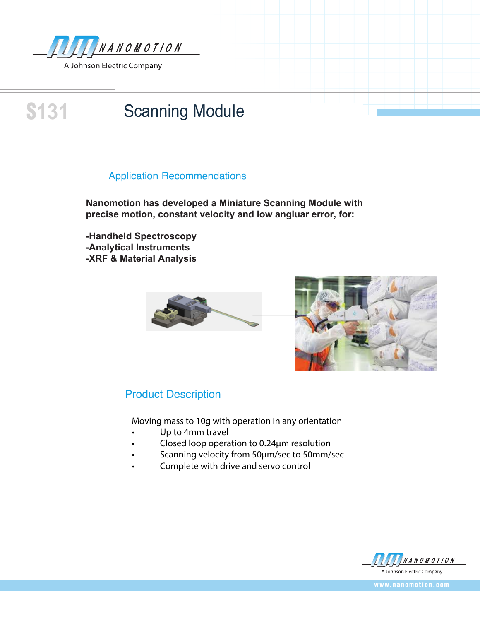

## **S131** Scanning Module

### Application Recommendations

**Nanomotion has developed a Miniature Scanning Module with precise motion, constant velocity and low angluar error, for:**

**-Handheld Spectroscopy -Analytical Instruments -XRF & Material Analysis** 



## Product Description

Moving mass to 10g with operation in any orientation

- Up to 4mm travel
- � Closed loop operation to 0.24µm resolution
- Scanning velocity from 50µm/sec to 50mm/sec
- Complete with drive and servo control



**w w w . n a n o m o t i o n . c o m**